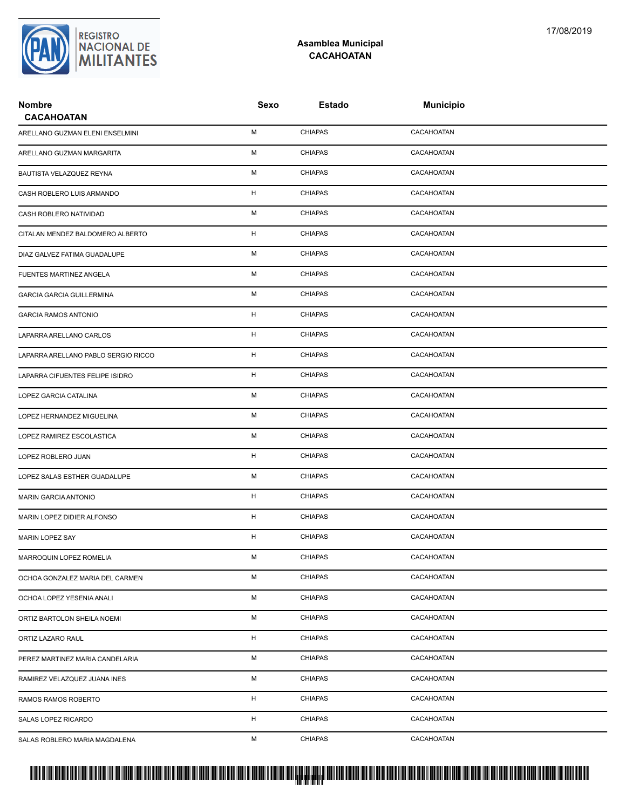

## **Asamblea Municipal CACAHOATAN**

| <b>Nombre</b><br><b>CACAHOATAN</b>  | Sexo | Estado         | <b>Municipio</b> |  |
|-------------------------------------|------|----------------|------------------|--|
| ARELLANO GUZMAN ELENI ENSELMINI     | М    | <b>CHIAPAS</b> | CACAHOATAN       |  |
| ARELLANO GUZMAN MARGARITA           | М    | <b>CHIAPAS</b> | CACAHOATAN       |  |
| BAUTISTA VELAZQUEZ REYNA            | М    | <b>CHIAPAS</b> | CACAHOATAN       |  |
| CASH ROBLERO LUIS ARMANDO           | H    | <b>CHIAPAS</b> | CACAHOATAN       |  |
| CASH ROBLERO NATIVIDAD              | М    | <b>CHIAPAS</b> | CACAHOATAN       |  |
| CITALAN MENDEZ BALDOMERO ALBERTO    | H    | <b>CHIAPAS</b> | CACAHOATAN       |  |
| DIAZ GALVEZ FATIMA GUADALUPE        | М    | <b>CHIAPAS</b> | CACAHOATAN       |  |
| FUENTES MARTINEZ ANGELA             | М    | <b>CHIAPAS</b> | CACAHOATAN       |  |
| <b>GARCIA GARCIA GUILLERMINA</b>    | М    | <b>CHIAPAS</b> | CACAHOATAN       |  |
| <b>GARCIA RAMOS ANTONIO</b>         | H    | <b>CHIAPAS</b> | CACAHOATAN       |  |
| LAPARRA ARELLANO CARLOS             | H    | <b>CHIAPAS</b> | CACAHOATAN       |  |
| LAPARRA ARELLANO PABLO SERGIO RICCO | H    | <b>CHIAPAS</b> | CACAHOATAN       |  |
| LAPARRA CIFUENTES FELIPE ISIDRO     | H    | <b>CHIAPAS</b> | CACAHOATAN       |  |
| LOPEZ GARCIA CATALINA               | М    | <b>CHIAPAS</b> | CACAHOATAN       |  |
| LOPEZ HERNANDEZ MIGUELINA           | М    | <b>CHIAPAS</b> | CACAHOATAN       |  |
| LOPEZ RAMIREZ ESCOLASTICA           | М    | <b>CHIAPAS</b> | CACAHOATAN       |  |
| LOPEZ ROBLERO JUAN                  | H    | <b>CHIAPAS</b> | CACAHOATAN       |  |
| LOPEZ SALAS ESTHER GUADALUPE        | М    | <b>CHIAPAS</b> | CACAHOATAN       |  |
| <b>MARIN GARCIA ANTONIO</b>         | H    | <b>CHIAPAS</b> | CACAHOATAN       |  |
| MARIN LOPEZ DIDIER ALFONSO          | H    | <b>CHIAPAS</b> | CACAHOATAN       |  |
| MARIN LOPEZ SAY                     | H    | <b>CHIAPAS</b> | CACAHOATAN       |  |
| MARROQUIN LOPEZ ROMELIA             | М    | <b>CHIAPAS</b> | CACAHOATAN       |  |
| OCHOA GONZALEZ MARIA DEL CARMEN     | М    | <b>CHIAPAS</b> | CACAHOATAN       |  |
| OCHOA LOPEZ YESENIA ANALI           | м    | <b>CHIAPAS</b> | CACAHOATAN       |  |
| ORTIZ BARTOLON SHEILA NOEMI         | М    | <b>CHIAPAS</b> | CACAHOATAN       |  |
| ORTIZ LAZARO RAUL                   | н    | <b>CHIAPAS</b> | CACAHOATAN       |  |
| PEREZ MARTINEZ MARIA CANDELARIA     | М    | <b>CHIAPAS</b> | CACAHOATAN       |  |
| RAMIREZ VELAZQUEZ JUANA INES        | М    | <b>CHIAPAS</b> | CACAHOATAN       |  |
| RAMOS RAMOS ROBERTO                 | н    | <b>CHIAPAS</b> | CACAHOATAN       |  |
| SALAS LOPEZ RICARDO                 | H    | <b>CHIAPAS</b> | CACAHOATAN       |  |
| SALAS ROBLERO MARIA MAGDALENA       | М    | <b>CHIAPAS</b> | CACAHOATAN       |  |

## PROTUCCION SU REGION DA SU REGIONAL DE LA SULTA SU REGIONAL DE MILITANTES CONTRADO NACIONAL DE MILITANTES CONTRADO N <mark>. Pangyakan k</mark>